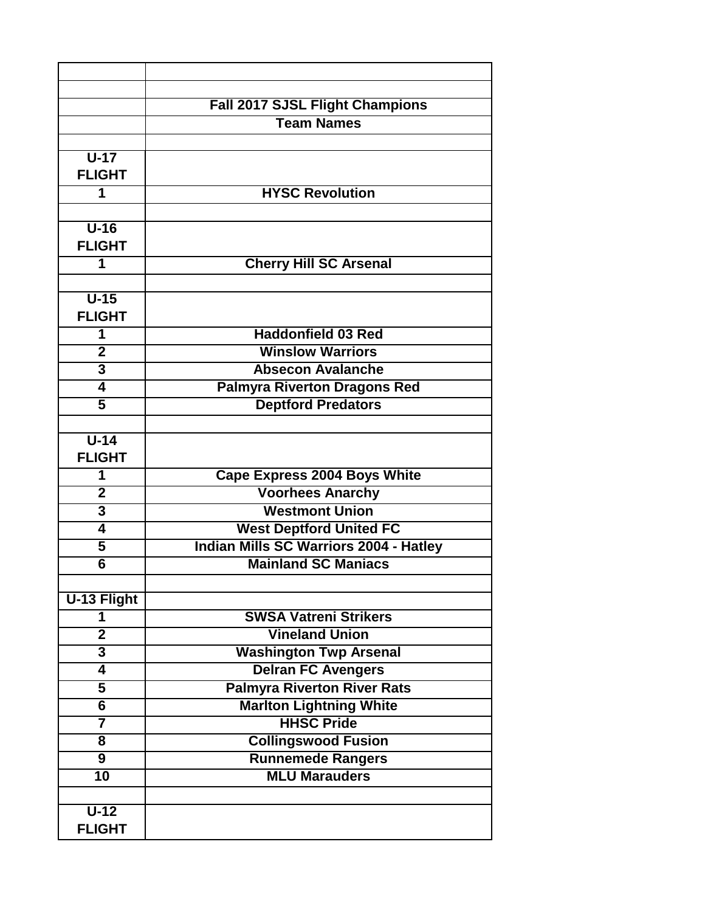|                         | Fall 2017 SJSL Flight Champions<br><b>Team Names</b> |
|-------------------------|------------------------------------------------------|
|                         |                                                      |
| $\overline{U-17}$       |                                                      |
| <b>FLIGHT</b>           |                                                      |
| 1                       | <b>HYSC Revolution</b>                               |
|                         |                                                      |
| $U-16$                  |                                                      |
| <b>FLIGHT</b>           |                                                      |
| 1                       | <b>Cherry Hill SC Arsenal</b>                        |
|                         |                                                      |
| $U-15$                  |                                                      |
| <b>FLIGHT</b>           |                                                      |
| 1                       | <b>Haddonfield 03 Red</b>                            |
| $\overline{2}$          | <b>Winslow Warriors</b>                              |
| $\overline{3}$          | <b>Absecon Avalanche</b>                             |
| $\overline{\mathbf{4}}$ | <b>Palmyra Riverton Dragons Red</b>                  |
| $\overline{5}$          | <b>Deptford Predators</b>                            |
|                         |                                                      |
| $U-14$                  |                                                      |
| <b>FLIGHT</b>           |                                                      |
| 1                       | <b>Cape Express 2004 Boys White</b>                  |
| $\overline{2}$          | <b>Voorhees Anarchy</b>                              |
| $\overline{\mathbf{3}}$ | <b>Westmont Union</b>                                |
| $\overline{\mathbf{4}}$ | <b>West Deptford United FC</b>                       |
| 5                       | <b>Indian Mills SC Warriors 2004 - Hatley</b>        |
| $\overline{6}$          | <b>Mainland SC Maniacs</b>                           |
|                         |                                                      |
| <b>U-13 Flight</b>      |                                                      |
| 1                       | <b>SWSA Vatreni Strikers</b>                         |
| $\overline{\mathbf{2}}$ | <b>Vineland Union</b>                                |
| $\overline{\mathbf{3}}$ | <b>Washington Twp Arsenal</b>                        |
| $\overline{\mathbf{4}}$ | <b>Delran FC Avengers</b>                            |
| 5                       | <b>Palmyra Riverton River Rats</b>                   |
| $\overline{\bf{6}}$     | <b>Marlton Lightning White</b>                       |
| $\overline{\mathbf{7}}$ | <b>HHSC Pride</b>                                    |
| 8                       | <b>Collingswood Fusion</b>                           |
| 9                       | <b>Runnemede Rangers</b>                             |
| $\overline{10}$         | <b>MLU Marauders</b>                                 |
|                         |                                                      |
| $U-12$                  |                                                      |
| <b>FLIGHT</b>           |                                                      |